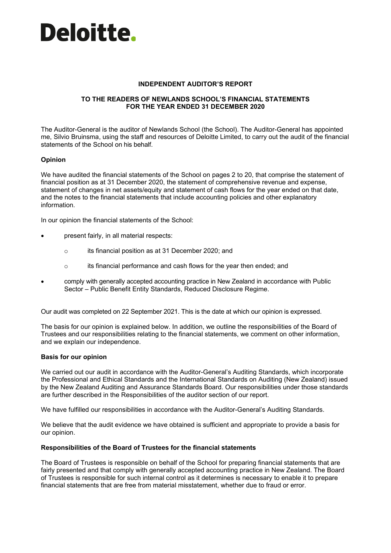

### **INDEPENDENT AUDITOR'S REPORT**

# **TO THE READERS OF NEWLANDS SCHOOL'S FINANCIAL STATEMENTS FOR THE YEAR ENDED 31 DECEMBER 2020**

The Auditor-General is the auditor of Newlands School (the School). The Auditor-General has appointed me, Silvio Bruinsma, using the staff and resources of Deloitte Limited, to carry out the audit of the financial statements of the School on his behalf.

### **Opinion**

We have audited the financial statements of the School on pages 2 to 20, that comprise the statement of financial position as at 31 December 2020, the statement of comprehensive revenue and expense, statement of changes in net assets/equity and statement of cash flows for the year ended on that date, and the notes to the financial statements that include accounting policies and other explanatory information.

In our opinion the financial statements of the School:

- present fairly, in all material respects:
	- o its financial position as at 31 December 2020; and
	- o its financial performance and cash flows for the year then ended; and
- comply with generally accepted accounting practice in New Zealand in accordance with Public Sector – Public Benefit Entity Standards, Reduced Disclosure Regime.

Our audit was completed on 22 September 2021. This is the date at which our opinion is expressed.

The basis for our opinion is explained below. In addition, we outline the responsibilities of the Board of Trustees and our responsibilities relating to the financial statements, we comment on other information, and we explain our independence.

### **Basis for our opinion**

We carried out our audit in accordance with the Auditor-General's Auditing Standards, which incorporate the Professional and Ethical Standards and the International Standards on Auditing (New Zealand) issued by the New Zealand Auditing and Assurance Standards Board. Our responsibilities under those standards are further described in the Responsibilities of the auditor section of our report.

We have fulfilled our responsibilities in accordance with the Auditor-General's Auditing Standards.

We believe that the audit evidence we have obtained is sufficient and appropriate to provide a basis for our opinion.

### **Responsibilities of the Board of Trustees for the financial statements**

The Board of Trustees is responsible on behalf of the School for preparing financial statements that are fairly presented and that comply with generally accepted accounting practice in New Zealand. The Board of Trustees is responsible for such internal control as it determines is necessary to enable it to prepare financial statements that are free from material misstatement, whether due to fraud or error.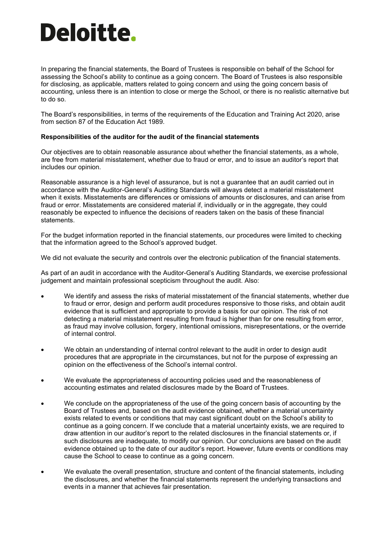# Deloitte.

In preparing the financial statements, the Board of Trustees is responsible on behalf of the School for assessing the School's ability to continue as a going concern. The Board of Trustees is also responsible for disclosing, as applicable, matters related to going concern and using the going concern basis of accounting, unless there is an intention to close or merge the School, or there is no realistic alternative but to do so.

The Board's responsibilities, in terms of the requirements of the Education and Training Act 2020, arise from section 87 of the Education Act 1989.

## **Responsibilities of the auditor for the audit of the financial statements**

Our objectives are to obtain reasonable assurance about whether the financial statements, as a whole, are free from material misstatement, whether due to fraud or error, and to issue an auditor's report that includes our opinion.

Reasonable assurance is a high level of assurance, but is not a guarantee that an audit carried out in accordance with the Auditor-General's Auditing Standards will always detect a material misstatement when it exists. Misstatements are differences or omissions of amounts or disclosures, and can arise from fraud or error. Misstatements are considered material if, individually or in the aggregate, they could reasonably be expected to influence the decisions of readers taken on the basis of these financial statements.

For the budget information reported in the financial statements, our procedures were limited to checking that the information agreed to the School's approved budget.

We did not evaluate the security and controls over the electronic publication of the financial statements.

As part of an audit in accordance with the Auditor-General's Auditing Standards, we exercise professional judgement and maintain professional scepticism throughout the audit. Also:

- We identify and assess the risks of material misstatement of the financial statements, whether due to fraud or error, design and perform audit procedures responsive to those risks, and obtain audit evidence that is sufficient and appropriate to provide a basis for our opinion. The risk of not detecting a material misstatement resulting from fraud is higher than for one resulting from error, as fraud may involve collusion, forgery, intentional omissions, misrepresentations, or the override of internal control.
- We obtain an understanding of internal control relevant to the audit in order to design audit procedures that are appropriate in the circumstances, but not for the purpose of expressing an opinion on the effectiveness of the School's internal control.
- We evaluate the appropriateness of accounting policies used and the reasonableness of accounting estimates and related disclosures made by the Board of Trustees.
- We conclude on the appropriateness of the use of the going concern basis of accounting by the Board of Trustees and, based on the audit evidence obtained, whether a material uncertainty exists related to events or conditions that may cast significant doubt on the School's ability to continue as a going concern. If we conclude that a material uncertainty exists, we are required to draw attention in our auditor's report to the related disclosures in the financial statements or, if such disclosures are inadequate, to modify our opinion. Our conclusions are based on the audit evidence obtained up to the date of our auditor's report. However, future events or conditions may cause the School to cease to continue as a going concern.
- We evaluate the overall presentation, structure and content of the financial statements, including the disclosures, and whether the financial statements represent the underlying transactions and events in a manner that achieves fair presentation.